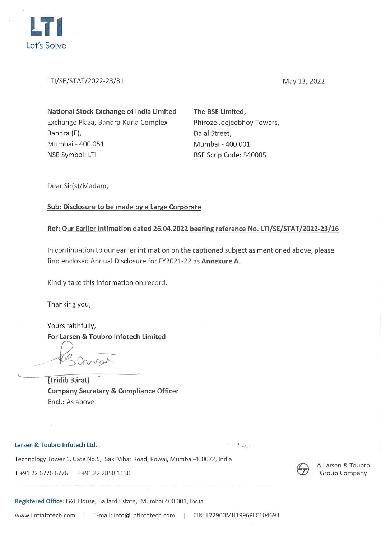

LTI/SE/STAT/2022-23/31

May 13, 2022

| <b>National Stock Exchange of India Limited</b> |
|-------------------------------------------------|
| Exchange Plaza, Bandra-Kurla Complex            |
| Bandra (E),                                     |
| Mumbai - 400 051                                |
| NSE Symbol: LTI                                 |

**The BSE Limited,**  Phiroze Jeejeebhoy Towers, Dalal Street, Mumbai - 400 001 BSE Scrip Code: 540005

Dear Sir(s)/Madam,

## **Sub: Disclosure to be made by a Large Corporate**

# **Ref: Our Earlier Intimation dated 26.04.2022 bearing reference No. LTI/SE/STAT/2022-23/16**

In continuation to our earlier intimation on the captioned subject as mentioned above, please find enclosed Annual Disclosure for FY2021-22 as **Annexure A.** 

Kindly take this information on record.

Thanking you,

Yours faithfully, **For Larsen** & **Toubro lnfotech Limited** 

- - *~Qv-Je,,P-·* 

**(Tridib Barat) Company Secretary** & **Compliance Officer Encl.:** As above

#### **Larsen** & **Toubro lnfotech Ltd.**

 $\mathbb{R}^3$  is  $\mathbb{R}^3$  .

Technology Tower 1, Gate No.5, Saki Vihar Road, Powai, Mumbai-400072, India

T +91 22 6776 6776 | F +91 22 2858 1130



A Larsen & Toubro **Group Company** 

**Registered Office:** L&T House, Ballard Estate, Mumbai 400 001, India

www.Lntinfotech.com | E-mail: info@Lntinfotech.com | CIN: L72900MH1996PLC104693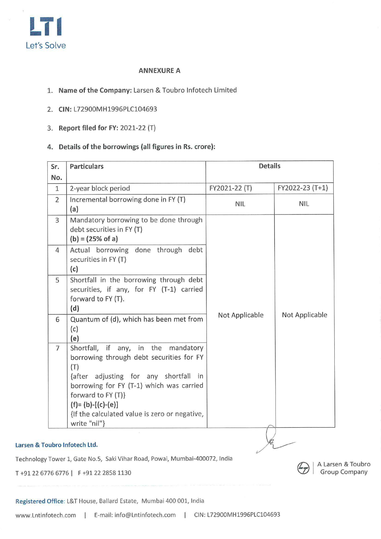

### **ANNEXURE A**

- 1. **Name of the Company:** Larsen & Toubro lnfotech Limited
- 2. **CIN:** L72900MH1996PLC104693
- 3. **Report filed for FY:** 2021-22 (T)
- **4. Details of the borrowings (all figures in Rs. crore):**

| Sr.            | <b>Particulars</b>                                                                                                                                                                                                                                                                              | <b>Details</b> |                 |
|----------------|-------------------------------------------------------------------------------------------------------------------------------------------------------------------------------------------------------------------------------------------------------------------------------------------------|----------------|-----------------|
| No.            |                                                                                                                                                                                                                                                                                                 |                |                 |
| $\mathbf{1}$   | 2-year block period                                                                                                                                                                                                                                                                             | FY2021-22 (T)  | FY2022-23 (T+1) |
| $\overline{2}$ | Incremental borrowing done in FY (T)<br>(a)                                                                                                                                                                                                                                                     | <b>NIL</b>     | NIL             |
| 3              | Mandatory borrowing to be done through<br>debt securities in FY (T)<br>$(b) = (25\% \text{ of a})$                                                                                                                                                                                              |                |                 |
| 4              | Actual borrowing done through debt<br>securities in FY (T)<br>(c)                                                                                                                                                                                                                               |                |                 |
| 5              | Shortfall in the borrowing through debt<br>securities, if any, for FY (T-1) carried<br>forward to FY (T).<br>(d)                                                                                                                                                                                |                |                 |
| 6              | Quantum of (d), which has been met from<br>(c)<br>(e)                                                                                                                                                                                                                                           | Not Applicable | Not Applicable  |
| $\overline{7}$ | Shortfall, if any, in the mandatory<br>borrowing through debt securities for FY<br>(T)<br>{after adjusting for any shortfall in<br>borrowing for FY (T-1) which was carried<br>forward to FY (T)}<br>$(f) = (b) - [(c) - (e)]$<br>{If the calculated value is zero or negative,<br>write "nil"} |                |                 |
|                | oubro Infotech Ltd.                                                                                                                                                                                                                                                                             |                |                 |

**tr:::..** I A Larsen & Toubro **'CI/** Group Company

### **Larsen** & **Toubro lnfotech Ltd.**

Technology Tower 1, Gate No.5, Saki Vihar Road, Powai, Mumbai-400072, India

T +91 22 6776 6776 | F +91 22 2858 1130

Registered Office: L&T House, Ballard Estate, Mumbai 400 001, India

www.Lntinfotech.com | E-mail: info@Lntinfotech.com | CIN: L72900MH1996PLC104693